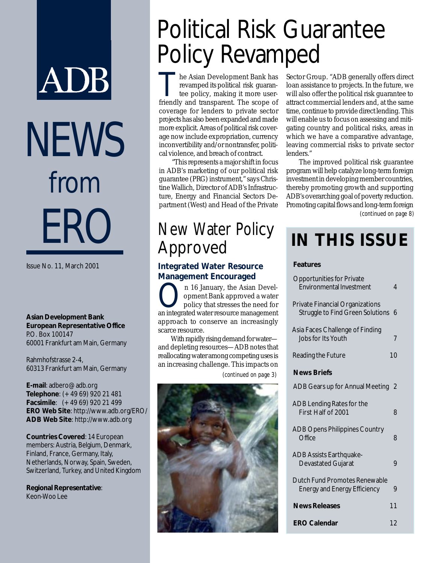# ADB NEWS from ERO

Issue No. 11, March 2001

**Asian Development Bank European Representative Office** P.O. Box 100147 60001 Frankfurt am Main, Germany

Rahmhofstrasse 2-4, 60313 Frankfurt am Main, Germany

**E-mail**: adbero@adb.org **Telephone**: (+49 69) 920 21 481 **Facsimile**: (+49 69) 920 21 499 **ERO Web Site**: http://www.adb.org/ERO/ **ADB Web Site**: http://www.adb.org

**Countries Covered**: 14 European members: Austria, Belgium, Denmark, Finland, France, Germany, Italy, Netherlands, Norway, Spain, Sweden, Switzerland, Turkey, and United Kingdom

**Regional Representative**: Keon-Woo Lee

## Political Risk Guarantee Policy Revamped

The Asian Development Bank has<br>revamped its political risk guarantee policy, making it more user-<br>friendly and transparent. The scene of revamped its political risk guarantee policy, making it more userfriendly and transparent. The scope of coverage for lenders to private sector projects has also been expanded and made more explicit. Areas of political risk coverage now include expropriation, currency inconvertibility and/or nontransfer, political violence, and breach of contract.

"This represents a major shift in focus in ADB's marketing of our political risk guarantee (PRG) instrument," says Christine Wallich, Director of ADB's Infrastructure, Energy and Financial Sectors Department (West) and Head of the Private

### New Water Policy Approved

#### **Integrated Water Resource Management Encouraged**

On 16 January, the Asian Devel-<br>
opment Bank approved a water<br>
policy that stresses the need for opment Bank approved a water an integrated water resource management approach to conserve an increasingly scarce resource.

With rapidly rising demand for water and depleting resources—ADB notes that reallocating water among competing uses is an increasing challenge. This impacts on *(continued on page 3)*



Sector Group. "ADB generally offers direct loan assistance to projects. In the future, we will also offer the political risk guarantee to attract commercial lenders and, at the same time, continue to provide direct lending. This will enable us to focus on assessing and mitigating country and political risks, areas in which we have a comparative advantage, leaving commercial risks to private sector lenders."

The improved political risk guarantee program will help catalyze long-term foreign investment in developing member countries, thereby promoting growth and supporting ADB's overarching goal of poverty reduction. Promoting capital flows and long-term foreign *(continued on page 8)*

### **IN THIS ISSUE**

#### **Features**

| <b>Opportunities for Private</b><br><b>Environmental Investment</b>               | 4             |
|-----------------------------------------------------------------------------------|---------------|
| <b>Private Financial Organizations</b><br><b>Struggle to Find Green Solutions</b> | 6             |
| Asia Faces Challenge of Finding<br>Jobs for Its Youth                             | 7             |
| Reading the Future                                                                | 10            |
| <b>News Briefs</b>                                                                |               |
| ADB Gears up for Annual Meeting                                                   | $\mathcal{V}$ |
| ADB Lending Rates for the<br>First Half of 2001                                   | 8             |
| <b>ADB Opens Philippines Country</b><br>Office                                    | 8             |
| <b>ADB Assists Earthquake-</b><br>Devastated Gujarat                              | 9             |
| Dutch Fund Promotes Renewable<br><b>Energy and Energy Efficiency</b>              | 9             |
| <b>News Releases</b>                                                              | 11            |
| <b>ERO Calendar</b>                                                               | 12            |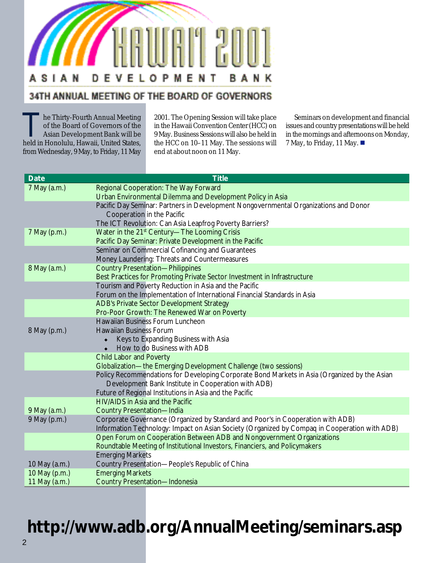### ASI A N EVELOPMENT BANK D

### 34TH ANNUAL MEETING OF THE BOARD OF GOVERNORS

he Thirty-Fourth Annual Meeting of the Board of Governors of the Asian Development Bank will be held in Honolulu, Hawaii, United States, from Wednesday, 9 May, to Friday, 11 May 2001. The Opening Session will take place in the Hawaii Convention Center (HCC) on 9 May. Business Sessions will also be held in the HCC on 10–11 May. The sessions will end at about noon on 11 May.

Seminars on development and financial issues and country presentations will be held in the mornings and afternoons on Monday, 7 May, to Friday, 11 May. !

| <b>Date</b>   | <b>Title</b>                                                                                  |  |  |  |
|---------------|-----------------------------------------------------------------------------------------------|--|--|--|
| 7 May (a.m.)  | Regional Cooperation: The Way Forward                                                         |  |  |  |
|               | Urban Environmental Dilemma and Development Policy in Asia                                    |  |  |  |
|               | Pacific Day Seminar: Partners in Development Nongovernmental Organizations and Donor          |  |  |  |
|               | Cooperation in the Pacific                                                                    |  |  |  |
|               | The ICT Revolution: Can Asia Leapfrog Poverty Barriers?                                       |  |  |  |
| 7 May (p.m.)  | Water in the 21 <sup>st</sup> Century-The Looming Crisis                                      |  |  |  |
|               | Pacific Day Seminar: Private Development in the Pacific                                       |  |  |  |
|               | Seminar on Commercial Cofinancing and Guarantees                                              |  |  |  |
|               | Money Laundering: Threats and Countermeasures                                                 |  |  |  |
| 8 May (a.m.)  | <b>Country Presentation-Philippines</b>                                                       |  |  |  |
|               | Best Practices for Promoting Private Sector Investment in Infrastructure                      |  |  |  |
|               | Tourism and Poverty Reduction in Asia and the Pacific                                         |  |  |  |
|               | Forum on the Implementation of International Financial Standards in Asia                      |  |  |  |
|               | <b>ADB's Private Sector Development Strategy</b>                                              |  |  |  |
|               | Pro-Poor Growth: The Renewed War on Poverty                                                   |  |  |  |
|               | Hawaiian Business Forum Luncheon<br><b>Hawaiian Business Forum</b>                            |  |  |  |
| 8 May (p.m.)  | Keys to Expanding Business with Asia                                                          |  |  |  |
|               | $\bullet$<br>How to do Business with ADB<br>$\bullet$                                         |  |  |  |
|               | <b>Child Labor and Poverty</b>                                                                |  |  |  |
|               | Globalization-the Emerging Development Challenge (two sessions)                               |  |  |  |
|               | Policy Recommendations for Developing Corporate Bond Markets in Asia (Organized by the Asian  |  |  |  |
|               | Development Bank Institute in Cooperation with ADB)                                           |  |  |  |
|               | Future of Regional Institutions in Asia and the Pacific                                       |  |  |  |
|               | <b>HIV/AIDS in Asia and the Pacific</b>                                                       |  |  |  |
| 9 May (a.m.)  | <b>Country Presentation-India</b>                                                             |  |  |  |
| 9 May (p.m.)  | Corporate Governance (Organized by Standard and Poor's in Cooperation with ADB)               |  |  |  |
|               | Information Technology: Impact on Asian Society (Organized by Compaq in Cooperation with ADB) |  |  |  |
|               | Open Forum on Cooperation Between ADB and Nongovernment Organizations                         |  |  |  |
|               | Roundtable Meeting of Institutional Investors, Financiers, and Policymakers                   |  |  |  |
|               | <b>Emerging Markets</b>                                                                       |  |  |  |
| 10 May (a.m.) | Country Presentation-People's Republic of China                                               |  |  |  |
| 10 May (p.m.) | <b>Emerging Markets</b>                                                                       |  |  |  |
| 11 May (a.m.) | <b>Country Presentation-Indonesia</b>                                                         |  |  |  |

### **http://www.adb.org/AnnualMeeting/seminars.asp**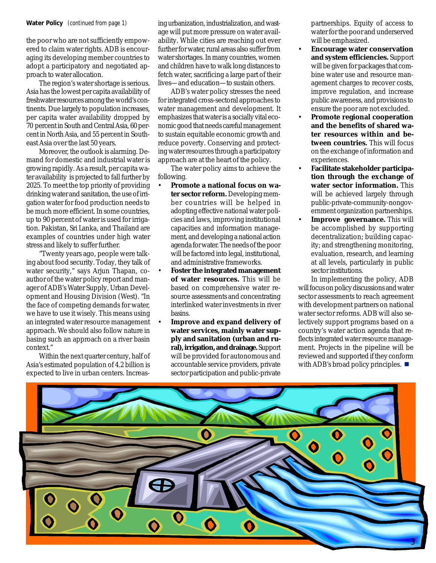#### **Water Policy** *(continued from page 1)*

the poor who are not sufficiently empowered to claim water rights. ADB is encouraging its developing member countries to adopt a participatory and negotiated approach to water allocation.

The region's water shortage is serious. Asia has the lowest per capita availability of freshwater resources among the world's continents. Due largely to population increases, per capita water availability dropped by 70 percent in South and Central Asia, 60 percent in North Asia, and 55 percent in Southeast Asia over the last 50 years.

Moreover, the outlook is alarming. Demand for domestic and industrial water is growing rapidly. As a result, per capita water availability is projected to fall further by 2025. To meet the top priority of providing drinking water and sanitation, the use of irrigation water for food production needs to be much more efficient. In some countries, up to 90 percent of water is used for irrigation. Pakistan, Sri Lanka, and Thailand are examples of countries under high water stress and likely to suffer further.

"Twenty years ago, people were talking about food security. Today, they talk of water security," says Arjun Thapan, coauthor of the water policy report and manager of ADB's Water Supply, Urban Development and Housing Division (West). "In the face of competing demands for water, we have to use it wisely. This means using an integrated water resource management approach. We should also follow nature in basing such an approach on a river basin context."

Within the next quarter century, half of Asia's estimated population of 4.2 billion is expected to live in urban centers. Increasing urbanization, industrialization, and wastage will put more pressure on water availability. While cities are reaching out ever further for water, rural areas also suffer from water shortages. In many countries, women and children have to walk long distances to fetch water, sacrificing a large part of their lives—and education—to sustain others.

ADB's water policy stresses the need for integrated cross-sectoral approaches to water management and development. It emphasizes that water is a socially vital economic good that needs careful management to sustain equitable economic growth and reduce poverty. Conserving and protecting water resources through a participatory approach are at the heart of the policy.

The water policy aims to achieve the following.

- **Promote a national focus on water sector reform.** Developing member countries will be helped in adopting effective national water policies and laws, improving institutional capacities and information management, and developing a national action agenda for water. The needs of the poor will be factored into legal, institutional, and administrative frameworks.
- **Foster the integrated management of water resources.** This will be based on comprehensive water resource assessments and concentrating interlinked water investments in river basins.
- **Improve and expand delivery of water services, mainly water supply and sanitation (urban and rural), irrigation, and drainage.** Support will be provided for autonomous and accountable service providers, private sector participation and public-private

partnerships. Equity of access to water for the poor and underserved will be emphasized.

- **Encourage water conservation and system efficiencies.** Support will be given for packages that combine water use and resource management charges to recover costs, improve regulation, and increase public awareness, and provisions to ensure the poor are not excluded.
- **Promote regional cooperation and the benefits of shared water resources within and between countries.** This will focus on the exchange of information and experiences.
- **Facilitate stakeholder participation through the exchange of water sector information.** This will be achieved largely through public-private-community-nongovernment organization partnerships.
- **Improve governance.** This will be accomplished by supporting decentralization; building capacity; and strengthening monitoring, evaluation, research, and learning at all levels, particularly in public sector institutions.

In implementing the policy, ADB will focus on policy discussions and water sector assessments to reach agreement with development partners on national water sector reforms. ADB will also selectively support programs based on a country's water action agenda that reflects integrated water resource management. Projects in the pipeline will be reviewed and supported if they conform with ADB's broad policy principles.  $\blacksquare$ 

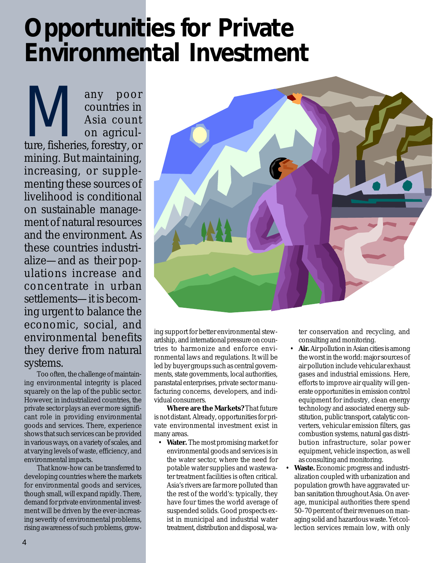## **Opportunities for Private Environmental Investment**

Many poor<br>countries in<br>Asia count<br>on agricul-<br>ture, fisheries, forestry, or countries in Asia count on agriculture, fisheries, forestry, or mining. But maintaining, increasing, or supplementing these sources of livelihood is conditional on sustainable management of natural resources and the environment. As these countries industrialize—and as their populations increase and concentrate in urban settlements—it is becoming urgent to balance the economic, social, and environmental benefits they derive from natural systems.

Too often, the challenge of maintaining environmental integrity is placed squarely on the lap of the public sector. However, in industrialized countries, the private sector plays an ever more significant role in providing environmental goods and services. There, experience shows that such services can be provided in various ways, on a variety of scales, and at varying levels of waste, efficiency, and environmental impacts.

That know-how can be transferred to developing countries where the markets for environmental goods and services, though small, will expand rapidly. There, demand for private environmental investment will be driven by the ever-increasing severity of environmental problems, rising awareness of such problems, grow-



ing support for better environmental stewardship, and international pressure on countries to harmonize and enforce environmental laws and regulations. It will be led by buyer groups such as central governments, state governments, local authorities, parastatal enterprises, private sector manufacturing concerns, developers, and individual consumers.

**Where are the Markets?** That future is not distant. Already, opportunities for private environmental investment exist in many areas.

• **Water.** The most promising market for environmental goods and services is in the water sector, where the need for potable water supplies and wastewater treatment facilities is often critical. Asia's rivers are far more polluted than the rest of the world's: typically, they have four times the world average of suspended solids. Good prospects exist in municipal and industrial water treatment, distribution and disposal, water conservation and recycling, and consulting and monitoring.

- **Air.** Air pollution in Asian cities is among the worst in the world: major sources of air pollution include vehicular exhaust gases and industrial emissions. Here, efforts to improve air quality will generate opportunities in emission control equipment for industry, clean energy technology and associated energy substitution, public transport, catalytic converters, vehicular emission filters, gas combustion systems, natural gas distribution infrastructure, solar power equipment, vehicle inspection, as well as consulting and monitoring.
- **Waste.** Economic progress and industrialization coupled with urbanization and population growth have aggravated urban sanitation throughout Asia. On average, municipal authorities there spend 50–70 percent of their revenues on managing solid and hazardous waste. Yet collection services remain low, with only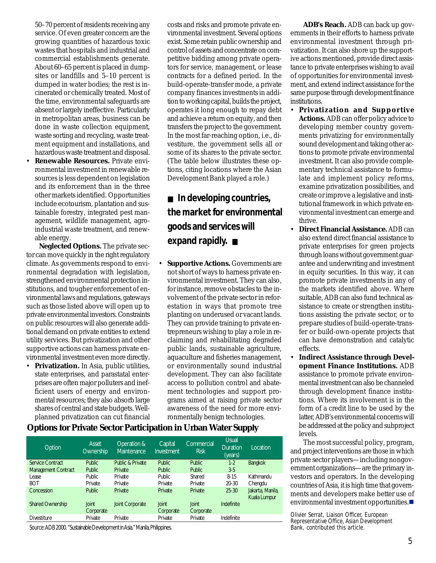50–70 percent of residents receiving any service. Of even greater concern are the growing quantities of hazardous toxic wastes that hospitals and industrial and commercial establishments generate. About 60–65 percent is placed in dumpsites or landfills and 5–10 percent is dumped in water bodies; the rest is incinerated or chemically treated. Most of the time, environmental safeguards are absent or largely ineffective. Particularly in metropolitan areas, business can be done in waste collection equipment, waste sorting and recycling, waste treatment equipment and installations, and hazardous waste treatment and disposal.

• **Renewable Resources.** Private environmental investment in renewable resources is less dependent on legislation and its enforcement than in the three other markets identified. Opportunities include ecotourism, plantation and sustainable forestry, integrated pest management, wildlife management, agroindustrial waste treatment, and renewable energy.

**Neglected Options.** The private sector can move quickly in the right regulatory climate. As governments respond to environmental degradation with legislation, strengthened environmental protection institutions, and tougher enforcement of environmental laws and regulations, gateways such as those listed above will open up to private environmental investors. Constraints on public resources will also generate additional demand on private entities to extend utility services. But privatization and other supportive actions can harness private environmental investment even more directly.

**Privatization.** In Asia, public utilities, state enterprises, and parastatal enterprises are often major polluters and inefficient users of energy and environmental resources; they also absorb large shares of central and state budgets. Wellplanned privatization can cut financial costs and risks and promote private environmental investment. Several options exist. Some retain public ownership and control of assets and concentrate on competitive bidding among private operators for service, management, or lease contracts for a defined period. In the build-operate-transfer mode, a private company finances investments in addition to working capital, builds the project, operates it long enough to repay debt and achieve a return on equity, and then transfers the project to the government. In the most far-reaching option, i.e., divestiture, the government sells all or some of its shares to the private sector. (The table below illustrates these options, citing locations where the Asian Development Bank played a role.)

■ In developing countries, **the market for environmental goods and services will expand rapidly.** ■

**Supportive Actions.** Governments are not short of ways to harness private environmental investment. They can also, for instance, remove obstacles to the involvement of the private sector in reforestation in ways that promote tree planting on underused or vacant lands. They can provide training to private entrepreneurs wishing to play a role in reclaiming and rehabilitating degraded public lands, sustainable agriculture, aquaculture and fisheries management, or environmentally sound industrial development. They can also facilitate access to pollution control and abatement technologies and support programs aimed at raising private sector awareness of the need for more environmentally benign technologies.

**ADB's Reach.** ADB can back up governments in their efforts to harness private environmental investment through privatization. It can also shore up the supportive actions mentioned, provide direct assistance to private enterprises wishing to avail of opportunities for environmental investment, and extend indirect assistance for the same purpose through development finance institutions.

- **Privatization and Supportive Actions.** ADB can offer policy advice to developing member country governments privatizing for environmentally sound development and taking other actions to promote private environmental investment. It can also provide complementary technical assistance to formulate and implement policy reforms, examine privatization possibilities, and create or improve a legislative and institutional framework in which private environmental investment can emerge and thrive.
- **Direct Financial Assistance.** ADB can also extend direct financial assistance to private enterprises for green projects through loans without government guarantee and underwriting and investment in equity securities. In this way, it can promote private investments in any of the markets identified above. Where suitable, ADB can also fund technical assistance to create or strengthen institutions assisting the private sector, or to prepare studies of build-operate-transfer or build-own-operate projects that can have demonstration and catalytic effects.
- **Indirect Assistance through Development Finance Institutions.** ADB assistance to promote private environmental investment can also be channeled through development finance institutions. Where its involvement is in the form of a credit line to be used by the latter, ADB's environmental concerns will be addressed at the policy and subproject levels.

The most successful policy, program, and project interventions are those in which private sector players—including nongovernment organizations—are the primary investors and operators. In the developing countries of Asia, it is high time that governments and developers make better use of environmental investment opportunities.

*Olivier Serrat, Liaison Officer, European Representative Office, Asian Development Bank, contributed this article*.

#### **Options for Private Sector Participation in Urban Water Supply**

| Option                     | Asset<br>Ownership | Operation &<br><b>Maintenance</b> | Capital<br><b>Investment</b> | Commercial<br><b>Risk</b> | <b>Usual</b><br><b>Duration</b><br>(years) | Location.                        |
|----------------------------|--------------------|-----------------------------------|------------------------------|---------------------------|--------------------------------------------|----------------------------------|
| Service Contract           | Public.            | Public & Private                  | Public.                      | Public.                   | $1-2$                                      | <b>Bangkok</b>                   |
| <b>Management Contract</b> | Public.            | Private                           | <b>Public</b>                | <b>Public</b>             | $3-5$                                      |                                  |
| Lease                      | Public.            | Private                           | Public.                      | Shared                    | $8 - 15$                                   | Kathmandu                        |
| <b>BOT</b>                 | Private            | Private                           | Private                      | Private                   | $20 - 30$                                  | Chengdu                          |
| Concession                 | Public.            | Private                           | Private                      | Private                   | $25 - 30$                                  | Jakarta, Manila,<br>Kuala Lumpur |
| <b>Shared Ownership</b>    | Joint<br>Corporate | <b>Joint Corporate</b>            | <b>Joint</b><br>Corporate    | Joint<br>Corporate        | Indefinite                                 |                                  |
| <b>Divestiture</b>         | Private            | Private                           | Private                      | Private                   | Indefinite                                 |                                  |

Source: ADB 2000. "Sustainable Development in Asia." Manila, Philippines.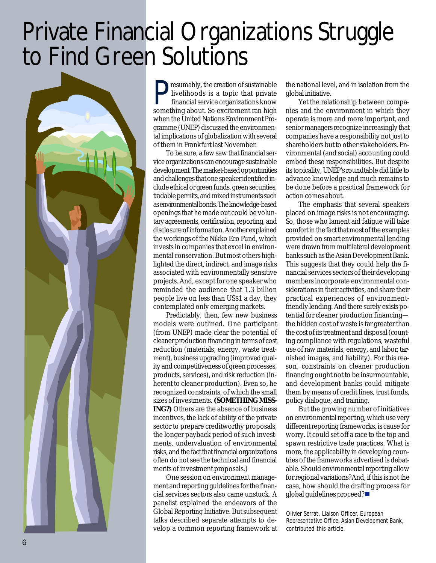## Private Financial Organizations Struggle to Find Green Solutions



**Presumably, the creation of sustainable<br>livelihoods is a topic that private<br>financial service organizations know** livelihoods is a topic that private something about. So excitement ran high when the United Nations Environment Programme (UNEP) discussed the environmental implications of globalization with several of them in Frankfurt last November.

To be sure, a few saw that financial service organizations can encourage sustainable development. The market-based opportunities and challenges that one speaker identified include ethical or green funds, green securities, tradable permits, and mixed instruments such as environmental bonds. The knowledge-based openings that he made out could be voluntary agreements, certification, reporting, and disclosure of information. Another explained the workings of the Nikko Eco Fund, which invests in companies that excel in environmental conservation. But most others highlighted the direct, indirect, and image risks associated with environmentally sensitive projects. And, except for one speaker who reminded the audience that 1.3 billion people live on less than US\$1 a day, they contemplated only emerging markets.

Predictably, then, few new business models were outlined. One participant (from UNEP) made clear the potential of cleaner production financing in terms of cost reduction (materials, energy, waste treatment), business upgrading (improved quality and competitiveness of green processes, products, services), and risk reduction (inherent to cleaner production). Even so, he recognized constraints, of which the small sizes of investments. **(SOMETHING MISS-ING?)** Others are the absence of business incentives, the lack of ability of the private sector to prepare creditworthy proposals, the longer payback period of such investments, undervaluation of environmental risks, and the fact that financial organizations often do not see the technical and financial merits of investment proposals.)

One session on environment management and reporting guidelines for the financial services sectors also came unstuck. A panelist explained the endeavors of the Global Reporting Initiative. But subsequent talks described separate attempts to develop a common reporting framework at

the national level, and in isolation from the global initiative.

Yet the relationship between companies and the environment in which they operate is more and more important, and senior managers recognize increasingly that companies have a responsibility not just to shareholders but to other stakeholders. Environmental (and social) accounting could embed these responsibilities. But despite its topicality, UNEP's roundtable did little to advance knowledge and much remains to be done before a practical framework for action comes about.

The emphasis that several speakers placed on image risks is not encouraging. So, those who lament aid fatigue will take comfort in the fact that most of the examples provided on smart environmental lending were drawn from multilateral development banks such as the Asian Development Bank. This suggests that they could help the financial services sectors of their developing members incorporate environmental considerations in their activities, and share their practical experiences of environmentfriendly lending. And there surely exists potential for cleaner production financing the hidden cost of waste is far greater than the cost of its treatment and disposal (counting compliance with regulations, wasteful use of raw materials, energy, and labor, tarnished images, and liability). For this reason, constraints on cleaner production financing ought not to be insurmountable, and development banks could mitigate them by means of credit lines, trust funds, policy dialogue, and training.

But the growing number of initiatives on environmental reporting, which use very different reporting frameworks, is cause for worry. It could set off a race to the top and spawn restrictive trade practices. What is more, the applicability in developing countries of the frameworks advertised is debatable. Should environmental reporting allow for regional variations? And, if this is not the case, how should the drafting process for global guidelines proceed? $\blacksquare$ 

*Olivier Serrat, Liaison Officer, European Representative Office, Asian Development Bank, contributed this article*.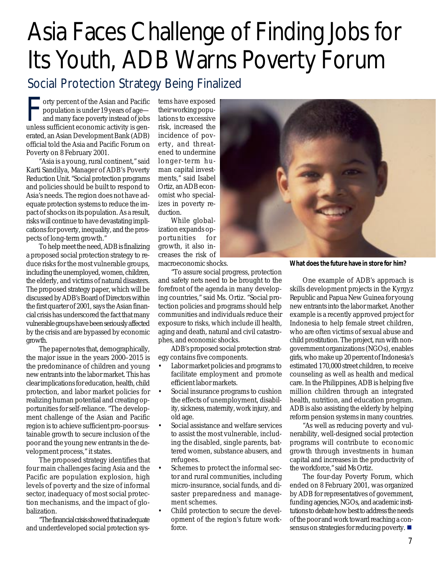## Asia Faces Challenge of Finding Jobs for Its Youth, ADB Warns Poverty Forum

### Social Protection Strategy Being Finalized

The vertex of the Asian and Pacific<br>population is under 19 years of age—<br>and many face poverty instead of jobs<br>unless sufficient economic activity is genorty percent of the Asian and Pacific population is under 19 years of age and many face poverty instead of jobs erated, an Asian Development Bank (ADB) official told the Asia and Pacific Forum on Poverty on 8 February 2001.

"Asia is a young, rural continent," said Karti Sandilya, Manager of ADB's Poverty Reduction Unit. "Social protection programs and policies should be built to respond to Asia's needs. The region does not have adequate protection systems to reduce the impact of shocks on its population. As a result, risks will continue to have devastating implications for poverty, inequality, and the prospects of long-term growth."

To help meet the need, ADB is finalizing a proposed social protection strategy to reduce risks for the most vulnerable groups, including the unemployed, women, children, the elderly, and victims of natural disasters. The proposed strategy paper, which will be discussed by ADB's Board of Directors within the first quarter of 2001, says the Asian financial crisis has underscored the fact that many vulnerable groups have been seriously affected by the crisis and are bypassed by economic growth.

The paper notes that, demographically, the major issue in the years 2000–2015 is the predominance of children and young new entrants into the labor market. This has clear implications for education, health, child protection, and labor market policies for realizing human potential and creating opportunities for self-reliance. "The development challenge of the Asian and Pacific region is to achieve sufficient pro-poor sustainable growth to secure inclusion of the poor and the young new entrants in the development process," it states.

The proposed strategy identifies that four main challenges facing Asia and the Pacific are population explosion, high levels of poverty and the size of informal sector, inadequacy of most social protection mechanisms, and the impact of globalization.

"The financial crisis showed that inadequate and underdeveloped social protection sys-

tems have exposed their working populations to excessive risk, increased the incidence of poverty, and threatened to undermine longer-term human capital investments," said Isabel Ortiz, an ADB economist who specializes in poverty reduction.

While globalization expands opportunities for growth, it also increases the risk of macroeconomic shocks.

"To assure social progress, protection and safety nets need to be brought to the forefront of the agenda in many developing countries," said Ms. Ortiz. "Social protection policies and programs should help communities and individuals reduce their exposure to risks, which include ill health, aging and death, natural and civil catastrophes, and economic shocks.

ADB's proposed social protection strategy contains five components.

- Labor market policies and programs to facilitate employment and promote efficient labor markets.
- Social insurance programs to cushion the effects of unemployment, disability, sickness, maternity, work injury, and old age.
- Social assistance and welfare services to assist the most vulnerable, including the disabled, single parents, battered women, substance abusers, and refugees.
- Schemes to protect the informal sector and rural communities, including micro-insurance, social funds, and disaster preparedness and management schemes.
- Child protection to secure the development of the region's future workforce.



**What does the future have in store for him?**

One example of ADB's approach is skills development projects in the Kyrgyz Republic and Papua New Guinea for young new entrants into the labor market. Another example is a recently approved project for Indonesia to help female street children, who are often victims of sexual abuse and child prostitution. The project, run with nongovernment organizations (NGOs), enables girls, who make up 20 percent of Indonesia's estimated 170,000 street children, to receive counseling as well as health and medical care. In the Philippines, ADB is helping five million children through an integrated health, nutrition, and education program. ADB is also assisting the elderly by helping reform pension systems in many countries.

"As well as reducing poverty and vulnerability, well-designed social protection programs will contribute to economic growth through investments in human capital and increases in the productivity of the workforce," said Ms Ortiz.

The four-day Poverty Forum, which ended on 8 February 2001, was organized by ADB for representatives of government, funding agencies, NGOs, and academic institutions to debate how best to address the needs of the poor and work toward reaching a consensus on strategies for reducing poverty.  $\blacksquare$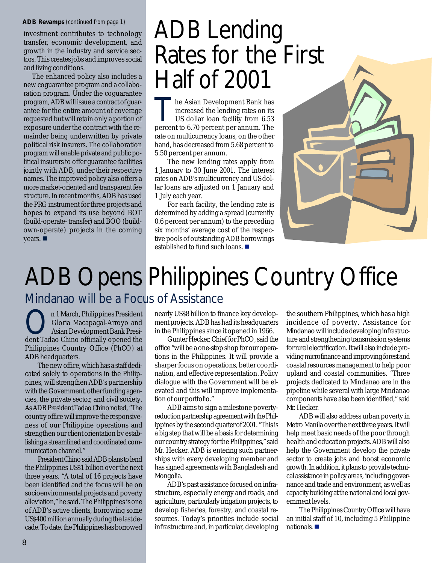#### **ADB Revamps** *(continued from page 1)*

investment contributes to technology transfer, economic development, and growth in the industry and service sectors. This creates jobs and improves social and living conditions.

The enhanced policy also includes a new coguarantee program and a collaboration program. Under the coguarantee program, ADB will issue a contract of guarantee for the entire amount of coverage requested but will retain only a portion of exposure under the contract with the remainder being underwritten by private political risk insurers. The collaboration program will enable private and public political insurers to offer guarantee facilities jointly with ADB, under their respective names. The improved policy also offers a more market-oriented and transparent fee structure. In recent months, ADB has used the PRG instrument for three projects and hopes to expand its use beyond BOT (build-operate- transfer) and BOO (buildown-operate) projects in the coming years.

## ADB Lending Rates for the First Half of 2001

he Asian Development Bank has increased the lending rates on its US dollar loan facility from 6.53 percent to 6.70 percent per annum. The rate on multicurrency loans, on the other hand, has decreased from 5.68 percent to 5.50 percent per annum.

The new lending rates apply from 1 January to 30 June 2001. The interest rates on ADB's multicurrency and US dollar loans are adjusted on 1 January and 1 July each year.

For each facility, the lending rate is determined by adding a spread (currently 0.6 percent per annum) to the preceding six months' average cost of the respective pools of outstanding ADB borrowings established to fund such loans. ■



### ADB Opens Philippines Country Office Mindanao will be a Focus of Assistance

n 1 March, Philippines President Gloria Macapagal-Arroyo and Asian Development Bank President Tadao Chino officially opened the Philippines Country Office (PhCO) at ADB headquarters.

The new office, which has a staff dedicated solely to operations in the Philippines, will strengthen ADB's partnership with the Government, other funding agencies, the private sector, and civil society. As ADB President Tadao Chino noted, "The country office will improve the responsiveness of our Philippine operations and strengthen our client orientation by establishing a streamlined and coordinated communication channel."

President Chino said ADB plans to lend the Philippines US\$1 billion over the next three years. "A total of 16 projects have been identified and the focus will be on socioenvironmental projects and poverty alleviation," he said. The Philippines is one of ADB's active clients, borrowing some US\$400 million annually during the last decade. To date, the Philippines has borrowed nearly US\$8 billion to finance key development projects. ADB has had its headquarters in the Philippines since it opened in 1966.

Gunter Hecker, Chief for PhCO, said the office "will be a one-stop shop for our operations in the Philippines. It will provide a sharper focus on operations, better coordination, and effective representation. Policy dialogue with the Government will be elevated and this will improve implementation of our portfolio."

ADB aims to sign a milestone povertyreduction partnership agreement with the Philippines by the second quarter of 2001. "This is a big step that will be a basis for determining our country strategy for the Philippines," said Mr. Hecker. ADB is entering such partnerships with every developing member and has signed agreements with Bangladesh and Mongolia.

ADB's past assistance focused on infrastructure, especially energy and roads, and agriculture, particularly irrigation projects, to develop fisheries, forestry, and coastal resources. Today's priorities include social infrastructure and, in particular, developing

the southern Philippines, which has a high incidence of poverty. Assistance for Mindanao will include developing infrastructure and strengthening transmission systems for rural electrification. It will also include providing microfinance and improving forest and coastal resources management to help poor upland and coastal communities. "Three projects dedicated to Mindanao are in the pipeline while several with large Mindanao components have also been identified," said Mr. Hecker.

ADB will also address urban poverty in Metro Manila over the next three years. It will help meet basic needs of the poor through health and education projects. ADB will also help the Government develop the private sector to create jobs and boost economic growth. In addition, it plans to provide technical assistance in policy areas, including governance and trade and environment, as well as capacity building at the national and local government levels.

The Philippines Country Office will have an initial staff of 10, including 5 Philippine nationals.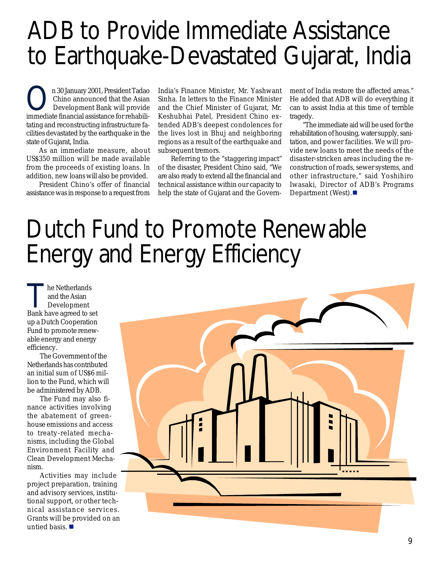## ADB to Provide Immediate Assistance to Earthquake-Devastated Gujarat, India

On 30 January 2001, President Tadao Chino announced that the Asian Development Bank will provide immediate financial assistance for rehabilitating and reconstructing infrastructure facilities devastated by the earthquake in the state of Gujarat, India.

As an immediate measure, about US\$350 million will be made available from the proceeds of existing loans. In addition, new loans will also be provided.

President Chino's offer of financial assistance was in response to a request from

India's Finance Minister, Mr. Yashwant Sinha. In letters to the Finance Minister and the Chief Minister of Gujarat, Mr. Keshubhai Patel, President Chino extended ADB's deepest condolences for the lives lost in Bhuj and neighboring regions as a result of the earthquake and subsequent tremors.

Referring to the "staggering impact" of the disaster, President Chino said, "We are also ready to extend all the financial and technical assistance within our capacity to help the state of Gujarat and the Govern-

ment of India restore the affected areas." He added that ADB will do everything it can to assist India at this time of terrible tragedy.

"The immediate aid will be used for the rehabilitation of housing, water supply, sanitation, and power facilities. We will provide new loans to meet the needs of the disaster-stricken areas including the reconstruction of roads, sewer systems, and other infrastructure," said Yoshihiro Iwasaki, Director of ADB's Programs Department (West). $\blacksquare$ 

## Dutch Fund to Promote Renewable Energy and Energy Efficiency

The Netherlands<br>
and the Asian<br>
Development<br>
Rank have agreed to s and the Asian Bank have agreed to set up a Dutch Cooperation Fund to promote renewable energy and energy efficiency.

The Government of the Netherlands has contributed an initial sum of US\$6 million to the Fund, which will be administered by ADB.

The Fund may also finance activities involving the abatement of greenhouse emissions and access to treaty-related mechanisms, including the Global Environment Facility and Clean Development Mechanism.

Activities may include project preparation, training and advisory services, institutional support, or other technical assistance services. Grants will be provided on an untied basis.  $\blacksquare$ 

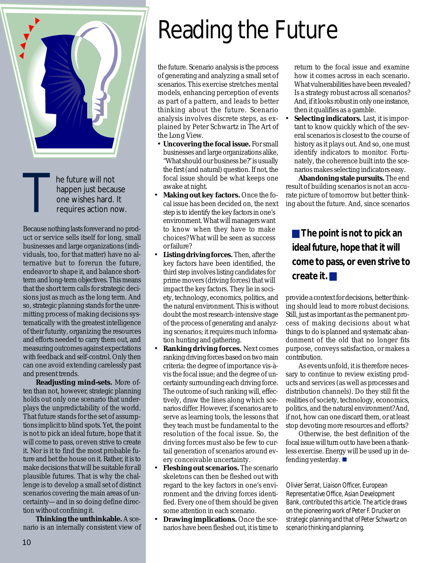

The future will not<br>happen just because one wishes hard.<br>requires action not happen just because one wishes hard. It requires action now.

Because nothing lasts forever and no product or service sells itself for long, small businesses and large organizations (individuals, too, for that matter) have no alternative but to forerun the future, endeavor to shape it, and balance shortterm and long-term objectives. This means that the short term calls for strategic decisions just as much as the long term. And so, strategic planning stands for the unremitting process of making decisions systematically with the greatest intelligence of their futurity, organizing the resources and efforts needed to carry them out, and measuring outcomes against expectations with feedback and self-control. Only then can one avoid extending carelessly past and present trends.

**Readjusting mind-sets.** More often than not, however, strategic planning holds out only one scenario that underplays the unpredictability of the world. That future stands for the set of assumptions implicit to blind spots. Yet, the point is not to pick an ideal future, hope that it will come to pass, or even strive to create it. Nor is it to find the most probable future and bet the house on it. Rather, it is to make decisions that will be suitable for all plausible futures. That is why the challenge is to develop a small set of distinct scenarios covering the main areas of uncertainty—and in so doing define direction without confining it.

**Thinking the unthinkable.** A scenario is an internally consistent view of

## Reading the Future

the future. Scenario analysis is the process of generating and analyzing a small set of scenarios. This exercise stretches mental models, enhancing perception of events as part of a pattern, and leads to better thinking about the future. Scenario analysis involves discrete steps, as explained by Peter Schwartz in *The Art of the Long View*.

- **Uncovering the focal issue.** For small businesses and large organizations alike, "What should our business be?" is usually the first (and natural) question. If not, the focal issue should be what keeps one awake at night.
- **Making out key factors.** Once the focal issue has been decided on, the next step is to identify the key factors in one's environment. What will managers want to know when they have to make choices? What will be seen as success or failure?
- **Listing driving forces.** Then, after the key factors have been identified, the third step involves listing candidates for prime movers (driving forces) that will impact the key factors. They lie in society, technology, economics, politics, and the natural environment. This is without doubt the most research-intensive stage of the process of generating and analyzing scenarios; it requires much information hunting and gathering.
- **Ranking driving forces.** Next comes ranking driving forces based on two main criteria: the degree of importance vis-àvis the focal issue; and the degree of uncertainty surrounding each driving force. The outcome of such ranking will, effectively, draw the lines along which scenarios differ. However, if scenarios are to serve as learning tools, the lessons that they teach must be fundamental to the resolution of the focal issue. So, the driving forces must also be few to curtail generation of scenarios around every conceivable uncertainty.
- **Fleshing out scenarios.** The scenario skeletons can then be fleshed out with regard to the key factors in one's environment and the driving forces identified. Every one of them should be given some attention in each scenario.
- **Drawing implications.** Once the scenarios have been fleshed out, it is time to

return to the focal issue and examine how it comes across in each scenario. What vulnerabilities have been revealed? Is a strategy robust across all scenarios? And, if it looks robust in only one instance, then it qualifies as a gamble.

• **Selecting indicators.** Last, it is important to know quickly which of the several scenarios is closest to the course of history as it plays out. And so, one must identify indicators to monitor. Fortunately, the coherence built into the scenarios makes selecting indicators easy.

**Abandoning stale pursuits.** The end result of building scenarios is not an accurate picture of tomorrow but better thinking about the future. And, since scenarios

**The point is not to pick an ideal future, hope that it will come to pass, or even strive to create it.** !

provide a context for decisions, better thinking should lead to more robust decisions. Still, just as important as the permanent process of making decisions about what things to do is planned and systematic abandonment of the old that no longer fits purpose, conveys satisfaction, or makes a contribution.

As events unfold, it is therefore necessary to continue to review existing products and services (as well as processes and distribution channels). Do they still fit the realities of society, technology, economics, politics, and the natural environment? And, if not, how can one discard them, or at least stop devoting more resources and efforts?

Otherwise, the best definition of the focal issue will turn out to have been a thankless exercise. Energy will be used up in defending yesterday.  $\blacksquare$ 

*Olivier Serrat, Liaison Officer, European Representative Office, Asian Development Bank, contributed this article. The article draws on the pioneering work of Peter F. Drucker on strategic planning and that of Peter Schwartz on scenario thinking and planning.*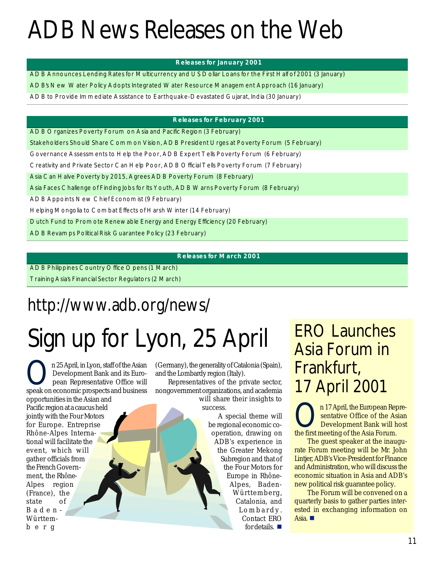## ADB News Releases on the Web

#### **R eleases for Jan u ary 2001**

A D B Announces Lending Rates for M ulticurrency and USD ollar Loans for the First H alf of 2001 (3 January)

ADB's N ew W ater Policy Adopts Integrated W ater Resource M anagem ent Approach (16 January)

A D B to P ro vide Im m ed iate A ssistance to Earthquake-D evastated G ujarat, Ind ia (30 January)

#### **R eleases for F eb ru ary 2001**

A D B O rganizes Poverty Forum on A sia and Pacific Region (3 February)

Stakeholders Should Share C om m on V ision, ADB President U rges at Poverty Forum (5 February)

G overnance Assessments to Help the Poor, ADB Expert Tells Poverty Forum (6 February)

C reativity and Private Sector C an H elp Poor, AD B O fficial T ells Poverty Forum (7 February)

A sia C an H alve P overty by 2015, A grees AD B P overty F orum (8 February)

A sia Faces C hallenge of Finding Jobs for Its Youth, ADB W arns Poverty Forum (8 February)

A D B A ppoints N ew C hief E conom ist (9 February)

Helping M ongolia to C om bat Effects of H arsh W inter (14 February)

D utch Fund to Prom ote Renew able Energy and Energy Efficiency (20 February)

A D B Revam ps Political Risk Guarantee Policy (23 February)

#### **R eleases for M arch 2001**

A D B P hilippines C ountry O ffice O pens (1 M arch) T raining A sia's Financial Sector R egulato rs (2 M arch)

### http://www.adb.org/news/

## Sign up for Lyon, 25 April

**On 25 April, in Lyon, staff of the Asian<br>Development Bank and its Euro-<br>pean Representative Office will** Development Bank and its Eurospeak on economic prospects and business opportunities in the Asian and Pacific region at a caucus held jointly with the Four Motors for Europe. Entreprise Rhône-Alpes International will facilitate the event, which will gather officials from the French Government, the Rhône-Alpes region (France), the state of Baden-Württemberg

(Germany), the generality of Catalonia (Spain), and the Lombardy region (Italy).

Representatives of the private sector, nongovernment organizations, and academia will share their insights to success.

A special theme will be regional economic cooperation, drawing on ADB's experience in the Greater Mekong Subregion and that of the Four Motors for Europe in Rhône-Alpes, Baden-Württemberg, Catalonia, and Lombardy. Contact ERO for details.  $\blacksquare$ 

### ERO Launches Asia Forum in Frankfurt, 17 April 2001

n 17 April, the European Representative Office of the Asian Development Bank will host the first meeting of the Asia Forum.

The guest speaker at the inaugurate Forum meeting will be Mr. John Lintjer, ADB's Vice-President for Finance and Administration, who will discuss the economic situation in Asia and ADB's new political risk guarantee policy.

The Forum will be convened on a quarterly basis to gather parties interested in exchanging information on Asia.  $\blacksquare$